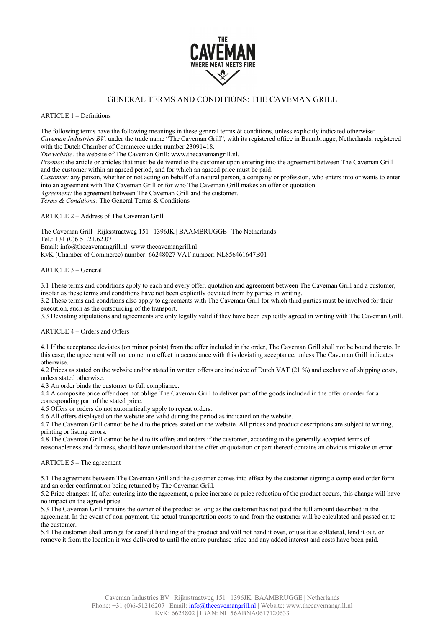

# GENERAL TERMS AND CONDITIONS: THE CAVEMAN GRILL

ARTICLE 1 – Definitions

The following terms have the following meanings in these general terms & conditions, unless explicitly indicated otherwise: *Caveman Industries BV*: under the trade name "The Caveman Grill", with its registered office in Baambrugge, Netherlands, registered with the Dutch Chamber of Commerce under number 23091418. *The website:* the website of The Caveman Grill: www.thecavemangrill.nl. *Product*: the article or articles that must be delivered to the customer upon entering into the agreement between The Caveman Grill and the customer within an agreed period, and for which an agreed price must be paid. *Customer:* any person, whether or not acting on behalf of a natural person, a company or profession, who enters into or wants to enter into an agreement with The Caveman Grill or for who The Caveman Grill makes an offer or quotation. *Agreement:* the agreement between The Caveman Grill and the customer. *Terms & Conditions:* The General Terms & Conditions ARTICLE 2 – Address of The Caveman Grill

The Caveman Grill | Rijksstraatweg 151 | 1396JK | BAAMBRUGGE | The Netherlands Tel.: +31 (0)6 51.21.62.07 Email: info@thecavemangrill.nl www.thecavemangrill.nl KvK (Chamber of Commerce) number: 66248027 VAT number: NL856461647B01

ARTICLE 3 – General

3.1 These terms and conditions apply to each and every offer, quotation and agreement between The Caveman Grill and a customer, insofar as these terms and conditions have not been explicitly deviated from by parties in writing.

3.2 These terms and conditions also apply to agreements with The Caveman Grill for which third parties must be involved for their execution, such as the outsourcing of the transport.

3.3 Deviating stipulations and agreements are only legally valid if they have been explicitly agreed in writing with The Caveman Grill.

#### ARTICLE 4 – Orders and Offers

4.1 If the acceptance deviates (on minor points) from the offer included in the order, The Caveman Grill shall not be bound thereto. In this case, the agreement will not come into effect in accordance with this deviating acceptance, unless The Caveman Grill indicates otherwise.

4.2 Prices as stated on the website and/or stated in written offers are inclusive of Dutch VAT (21 %) and exclusive of shipping costs, unless stated otherwise.

4.3 An order binds the customer to full compliance.

4.4 A composite price offer does not oblige The Caveman Grill to deliver part of the goods included in the offer or order for a corresponding part of the stated price.

4.5 Offers or orders do not automatically apply to repeat orders.

4.6 All offers displayed on the website are valid during the period as indicated on the website.

4.7 The Caveman Grill cannot be held to the prices stated on the website. All prices and product descriptions are subject to writing, printing or listing errors.

4.8 The Caveman Grill cannot be held to its offers and orders if the customer, according to the generally accepted terms of reasonableness and fairness, should have understood that the offer or quotation or part thereof contains an obvious mistake or error.

# ARTICLE 5 – The agreement

5.1 The agreement between The Caveman Grill and the customer comes into effect by the customer signing a completed order form and an order confirmation being returned by The Caveman Grill.

5.2 Price changes: If, after entering into the agreement, a price increase or price reduction of the product occurs, this change will have no impact on the agreed price.

5.3 The Caveman Grill remains the owner of the product as long as the customer has not paid the full amount described in the agreement. In the event of non-payment, the actual transportation costs to and from the customer will be calculated and passed on to the customer.

5.4 The customer shall arrange for careful handling of the product and will not hand it over, or use it as collateral, lend it out, or remove it from the location it was delivered to until the entire purchase price and any added interest and costs have been paid.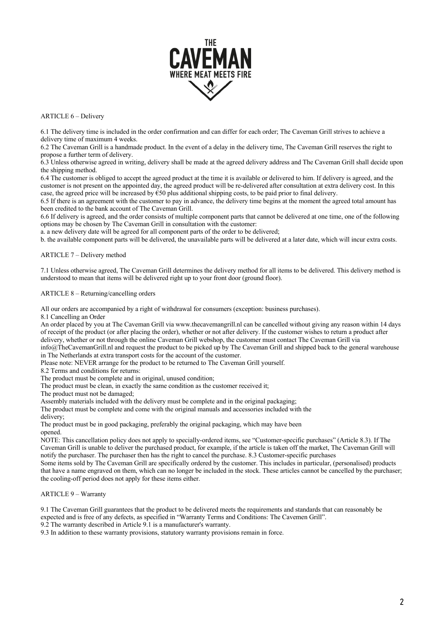

# ARTICLE 6 – Delivery

6.1 The delivery time is included in the order confirmation and can differ for each order; The Caveman Grill strives to achieve a delivery time of maximum 4 weeks.

6.2 The Caveman Grill is a handmade product. In the event of a delay in the delivery time, The Caveman Grill reserves the right to propose a further term of delivery.

6.3 Unless otherwise agreed in writing, delivery shall be made at the agreed delivery address and The Caveman Grill shall decide upon the shipping method.

6.4 The customer is obliged to accept the agreed product at the time it is available or delivered to him. If delivery is agreed, and the customer is not present on the appointed day, the agreed product will be re-delivered after consultation at extra delivery cost. In this case, the agreed price will be increased by  $\epsilon$ 50 plus additional shipping costs, to be paid prior to final delivery.

6.5 If there is an agreement with the customer to pay in advance, the delivery time begins at the moment the agreed total amount has been credited to the bank account of The Caveman Grill.

6.6 If delivery is agreed, and the order consists of multiple component parts that cannot be delivered at one time, one of the following options may be chosen by The Caveman Grill in consultation with the customer:

a. a new delivery date will be agreed for all component parts of the order to be delivered;

b. the available component parts will be delivered, the unavailable parts will be delivered at a later date, which will incur extra costs.

# ARTICLE 7 – Delivery method

7.1 Unless otherwise agreed, The Caveman Grill determines the delivery method for all items to be delivered. This delivery method is understood to mean that items will be delivered right up to your front door (ground floor).

# ARTICLE 8 – Returning/cancelling orders

All our orders are accompanied by a right of withdrawal for consumers (exception: business purchases).

8.1 Cancelling an Order

An order placed by you at The Caveman Grill via www.thecavemangrill.nl can be cancelled without giving any reason within 14 days of receipt of the product (or after placing the order), whether or not after delivery. If the customer wishes to return a product after delivery, whether or not through the online Caveman Grill webshop, the customer must contact The Caveman Grill via

info@TheCavemanGrill.nl and request the product to be picked up by The Caveman Grill and shipped back to the general warehouse in The Netherlands at extra transport costs for the account of the customer.

Please note: NEVER arrange for the product to be returned to The Caveman Grill yourself.

8.2 Terms and conditions for returns:

The product must be complete and in original, unused condition;

The product must be clean, in exactly the same condition as the customer received it;

The product must not be damaged;

Assembly materials included with the delivery must be complete and in the original packaging;

The product must be complete and come with the original manuals and accessories included with the

delivery;

The product must be in good packaging, preferably the original packaging, which may have been opened.

NOTE: This cancellation policy does not apply to specially-ordered items, see "Customer-specific purchases" (Article 8.3). If The Caveman Grill is unable to deliver the purchased product, for example, if the article is taken off the market, The Caveman Grill will notify the purchaser. The purchaser then has the right to cancel the purchase. 8.3 Customer-specific purchases

Some items sold by The Caveman Grill are specifically ordered by the customer. This includes in particular, (personalised) products that have a name engraved on them, which can no longer be included in the stock. These articles cannot be cancelled by the purchaser; the cooling-off period does not apply for these items either.

# ARTICLE 9 – Warranty

9.1 The Caveman Grill guarantees that the product to be delivered meets the requirements and standards that can reasonably be expected and is free of any defects, as specified in "Warranty Terms and Conditions: The Cavemen Grill".

9.2 The warranty described in Article 9.1 is a manufacturer's warranty.

9.3 In addition to these warranty provisions, statutory warranty provisions remain in force.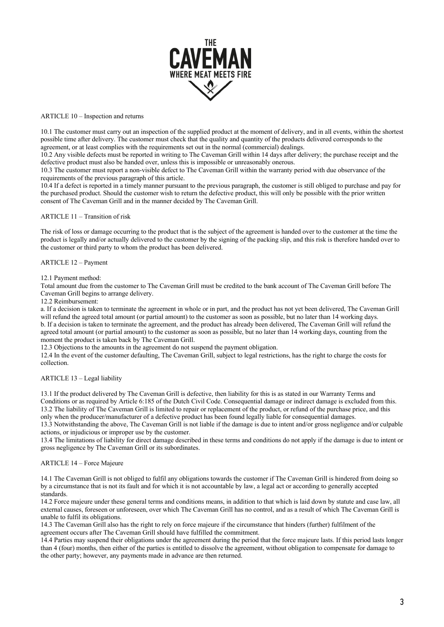

## ARTICLE 10 – Inspection and returns

10.1 The customer must carry out an inspection of the supplied product at the moment of delivery, and in all events, within the shortest possible time after delivery. The customer must check that the quality and quantity of the products delivered corresponds to the agreement, or at least complies with the requirements set out in the normal (commercial) dealings.

10.2 Any visible defects must be reported in writing to The Caveman Grill within 14 days after delivery; the purchase receipt and the defective product must also be handed over, unless this is impossible or unreasonably onerous.

10.3 The customer must report a non-visible defect to The Caveman Grill within the warranty period with due observance of the requirements of the previous paragraph of this article.

10.4 If a defect is reported in a timely manner pursuant to the previous paragraph, the customer is still obliged to purchase and pay for the purchased product. Should the customer wish to return the defective product, this will only be possible with the prior written consent of The Caveman Grill and in the manner decided by The Caveman Grill.

## ARTICLE 11 – Transition of risk

The risk of loss or damage occurring to the product that is the subject of the agreement is handed over to the customer at the time the product is legally and/or actually delivered to the customer by the signing of the packing slip, and this risk is therefore handed over to the customer or third party to whom the product has been delivered.

#### ARTICLE 12 – Payment

#### 12.1 Payment method:

Total amount due from the customer to The Caveman Grill must be credited to the bank account of The Caveman Grill before The Caveman Grill begins to arrange delivery.

12.2 Reimbursement:

a. If a decision is taken to terminate the agreement in whole or in part, and the product has not yet been delivered, The Caveman Grill will refund the agreed total amount (or partial amount) to the customer as soon as possible, but no later than 14 working days. b. If a decision is taken to terminate the agreement, and the product has already been delivered, The Caveman Grill will refund the agreed total amount (or partial amount) to the customer as soon as possible, but no later than 14 working days, counting from the moment the product is taken back by The Caveman Grill.

12.3 Objections to the amounts in the agreement do not suspend the payment obligation.

12.4 In the event of the customer defaulting, The Caveman Grill, subject to legal restrictions, has the right to charge the costs for collection.

## ARTICLE 13 – Legal liability

13.1 If the product delivered by The Caveman Grill is defective, then liability for this is as stated in our Warranty Terms and Conditions or as required by Article 6:185 of the Dutch Civil Code. Consequential damage or indirect damage is excluded from this. 13.2 The liability of The Caveman Grill is limited to repair or replacement of the product, or refund of the purchase price, and this only when the producer/manufacturer of a defective product has been found legally liable for consequential damages.

13.3 Notwithstanding the above, The Caveman Grill is not liable if the damage is due to intent and/or gross negligence and/or culpable actions, or injudicious or improper use by the customer.

13.4 The limitations of liability for direct damage described in these terms and conditions do not apply if the damage is due to intent or gross negligence by The Caveman Grill or its subordinates.

#### ARTICLE 14 – Force Majeure

14.1 The Caveman Grill is not obliged to fulfil any obligations towards the customer if The Caveman Grill is hindered from doing so by a circumstance that is not its fault and for which it is not accountable by law, a legal act or according to generally accepted standards.

14.2 Force majeure under these general terms and conditions means, in addition to that which is laid down by statute and case law, all external causes, foreseen or unforeseen, over which The Caveman Grill has no control, and as a result of which The Caveman Grill is unable to fulfil its obligations.

14.3 The Caveman Grill also has the right to rely on force majeure if the circumstance that hinders (further) fulfilment of the agreement occurs after The Caveman Grill should have fulfilled the commitment.

14.4 Parties may suspend their obligations under the agreement during the period that the force majeure lasts. If this period lasts longer than 4 (four) months, then either of the parties is entitled to dissolve the agreement, without obligation to compensate for damage to the other party; however, any payments made in advance are then returned.